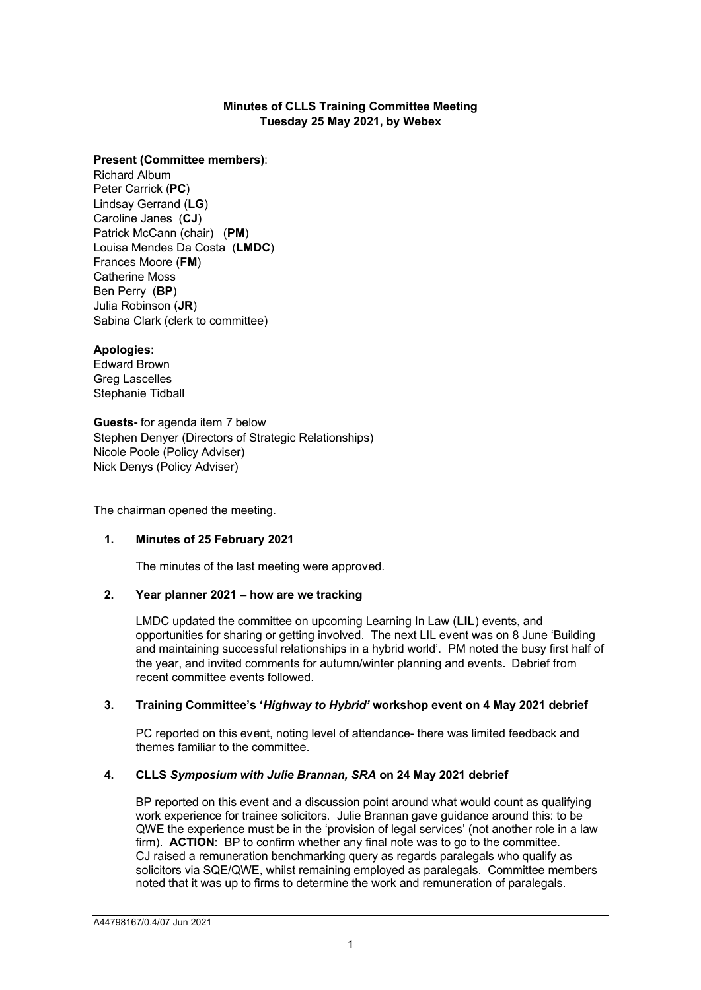# **Minutes of CLLS Training Committee Meeting Tuesday 25 May 2021, by Webex**

#### **Present (Committee members)**:

Richard Album Peter Carrick (**PC**) Lindsay Gerrand (**LG**) Caroline Janes (**CJ**) Patrick McCann (chair) (**PM**) Louisa Mendes Da Costa (**LMDC**) Frances Moore (**FM**) Catherine Moss Ben Perry (**BP**) Julia Robinson (**JR**) Sabina Clark (clerk to committee)

#### **Apologies:**

Edward Brown Greg Lascelles Stephanie Tidball

**Guests-** for agenda item 7 below Stephen Denyer (Directors of Strategic Relationships) Nicole Poole (Policy Adviser) Nick Denys (Policy Adviser)

The chairman opened the meeting.

## **1. Minutes of 25 February 2021**

The minutes of the last meeting were approved.

## **2. Year planner 2021 – how are we tracking**

LMDC updated the committee on upcoming Learning In Law (**LIL**) events, and opportunities for sharing or getting involved. The next LIL event was on 8 June 'Building and maintaining successful relationships in a hybrid world'. PM noted the busy first half of the year, and invited comments for autumn/winter planning and events. Debrief from recent committee events followed.

#### **3. Training Committee's '***Highway to Hybrid'* **workshop event on 4 May 2021 debrief**

PC reported on this event, noting level of attendance- there was limited feedback and themes familiar to the committee.

# **4. CLLS** *Symposium with Julie Brannan, SRA* **on 24 May 2021 debrief**

BP reported on this event and a discussion point around what would count as qualifying work experience for trainee solicitors. Julie Brannan gave guidance around this: to be QWE the experience must be in the 'provision of legal services' (not another role in a law firm). **ACTION**: BP to confirm whether any final note was to go to the committee. CJ raised a remuneration benchmarking query as regards paralegals who qualify as solicitors via SQE/QWE, whilst remaining employed as paralegals. Committee members noted that it was up to firms to determine the work and remuneration of paralegals.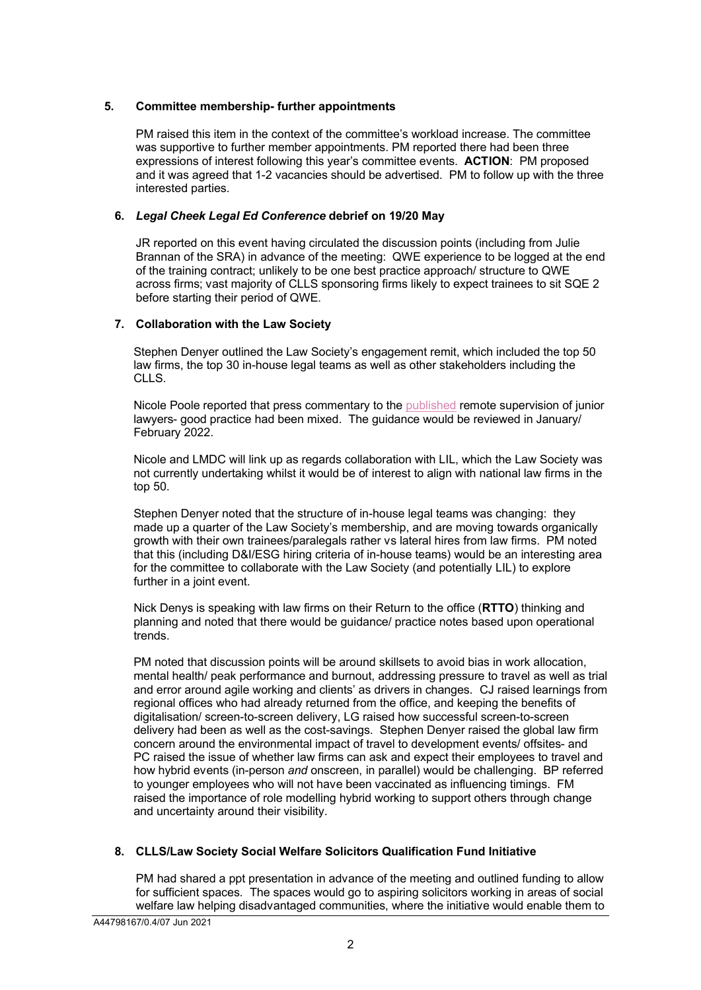# **5. Committee membership- further appointments**

PM raised this item in the context of the committee's workload increase. The committee was supportive to further member appointments. PM reported there had been three expressions of interest following this year's committee events. **ACTION**: PM proposed and it was agreed that 1-2 vacancies should be advertised. PM to follow up with the three interested parties.

# **6.** *Legal Cheek Legal Ed Conference* **debrief on 19/20 May**

JR reported on this event having circulated the discussion points (including from Julie Brannan of the SRA) in advance of the meeting: QWE experience to be logged at the end of the training contract; unlikely to be one best practice approach/ structure to QWE across firms; vast majority of CLLS sponsoring firms likely to expect trainees to sit SQE 2 before starting their period of QWE.

## **7. Collaboration with the Law Society**

Stephen Denyer outlined the Law Society's engagement remit, which included the top 50 law firms, the top 30 in-house legal teams as well as other stakeholders including the CLLS.

Nicole Poole reported that press commentary to th[e published](https://www.lawsociety.org.uk/topics/hr-and-people-management/supervision-good-practice-for-remote-supervision-of-junior-staff-and-trainee-solicitors) remote supervision of junior lawyers- good practice had been mixed. The guidance would be reviewed in January/ February 2022.

Nicole and LMDC will link up as regards collaboration with LIL, which the Law Society was not currently undertaking whilst it would be of interest to align with national law firms in the top 50.

Stephen Denyer noted that the structure of in-house legal teams was changing: they made up a quarter of the Law Society's membership, and are moving towards organically growth with their own trainees/paralegals rather vs lateral hires from law firms. PM noted that this (including D&I/ESG hiring criteria of in-house teams) would be an interesting area for the committee to collaborate with the Law Society (and potentially LIL) to explore further in a joint event.

Nick Denys is speaking with law firms on their Return to the office (**RTTO**) thinking and planning and noted that there would be guidance/ practice notes based upon operational trends.

PM noted that discussion points will be around skillsets to avoid bias in work allocation, mental health/ peak performance and burnout, addressing pressure to travel as well as trial and error around agile working and clients' as drivers in changes. CJ raised learnings from regional offices who had already returned from the office, and keeping the benefits of digitalisation/ screen-to-screen delivery, LG raised how successful screen-to-screen delivery had been as well as the cost-savings. Stephen Denyer raised the global law firm concern around the environmental impact of travel to development events/ offsites- and PC raised the issue of whether law firms can ask and expect their employees to travel and how hybrid events (in-person *and* onscreen, in parallel) would be challenging. BP referred to younger employees who will not have been vaccinated as influencing timings. FM raised the importance of role modelling hybrid working to support others through change and uncertainty around their visibility.

# **8. CLLS/Law Society Social Welfare Solicitors Qualification Fund Initiative**

PM had shared a ppt presentation in advance of the meeting and outlined funding to allow for sufficient spaces. The spaces would go to aspiring solicitors working in areas of social welfare law helping disadvantaged communities, where the initiative would enable them to